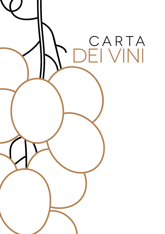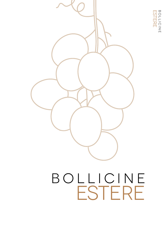



# bollicine ESTERE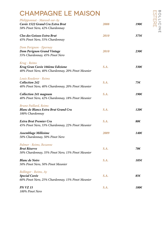#### CHAMPAGNE LE MAISON

| Philipponnat - Mareuil-sur-Ay<br>Cuvée 1522 Grand Cru Extra Brut<br>58% Pinot Nero, 42% Chardonnay   | 2008 | 190€           |
|------------------------------------------------------------------------------------------------------|------|----------------|
| Clos des Goisses Extra Brut<br>45% Pinot Nero, 55% Chardonnay                                        | 2010 | 375f           |
| Dom Perignon - Epernay<br><b>Dom Perignon Grand Vintage</b><br>55% Chardonnay, 45% Pinot Nero        | 2010 | $230 \epsilon$ |
| Krug - Reims<br>Krug Gran Cuvèe 166ème Edizione<br>40% Pinot Nero, 40% Chardonnay, 20% Pinot Meunier | S.A. | 330€           |
| Louis Roederer - Reims<br><b>Collection 242</b><br>40% Pinot Nero, 40% Chardonnay, 20% Pinot Meunier | S.A. | 75€            |
| <b>Collection 241 magnum</b><br>40% Pinot Nero, 42% Chardonnay, 18% Pinot Meunier                    | S.A. | 190€           |
| <b>Bruno Paillard, Reims</b><br><b>Blanc de Blancs Extra Brut Grand Cru</b><br>100% Chardonnay       | S.A. | 120€           |
| <b>Extra Brut Premier Cru</b><br>45% Pinot Nero, 33% Chardonnay, 22% Pinot Meunier                   | S.A. | 80€            |
| Assemblage Millèsime<br>50% Chardonnay, 50% Pinot Nero                                               | 2009 | 140€           |
| Palmer - Reims, Bezanne<br><b>Brut Réserve</b><br>50% Chardonnay, 35% Pinot Nero, 15% Pinot Meunier  | S.A. | 70€            |
| <b>Blanc de Noirs</b><br>50% Pinot Nero, 50% Pinot Meunier                                           | S.A. | 105€           |
| <b>Bollinger</b> - Reims, Ay<br>Special Cuvée<br>60% Pinot Nero, 25% Chardonnay, 15% Pinot Meunier   | S.A. | 85€            |
| <b>PN VZ 15</b><br>100% Pinot Nero                                                                   | S.A. | 180€           |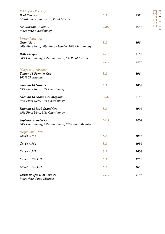| Pol Roger - Epernay<br><b>Brut Resèrve</b><br>Chardonnay, Pinot Nero, Pinot Meunier          | S.A. | 75€            | $\mathbf{\varpi}$<br>$\bigcirc$<br>$\overline{\phantom{a}}$<br>$\sqsubset$ |
|----------------------------------------------------------------------------------------------|------|----------------|----------------------------------------------------------------------------|
| <b>Sir Winston Churchill</b><br>Pinot Nero, Chardonnay                                       | 2009 | 350€           | $\frac{1}{2}$<br>고<br>미<br>$\Box$                                          |
| Perrier Jouet - Ay<br><b>Grand Brut</b><br>40% Pinot Nero, 40% Pinot Meunier, 20% Chardonnay | S.A. | 80€            |                                                                            |
| <b>Belle Epoque</b>                                                                          | 2013 | $210 \epsilon$ |                                                                            |
| 50% Chardonnay, 45% Pinot Nero, 5% Pinot Meunier                                             | 2012 | 230€           |                                                                            |
| Marguet - Ambonnay<br>Yuman 18 Premier Cru<br>100% Chardonnay                                | S.A. | 80€            |                                                                            |
| <b>Shaman 18 Grand Cru</b><br>69% Pinot Nero, 31% Chardonnay                                 | S.A. | 100€           |                                                                            |
| <b>Shaman 18 Grand Cru Magnum</b><br>69% Pinot Nero, 31% Chardonnay                          | S.A. | $210 \epsilon$ |                                                                            |
| Shaman 18 Rosè Grand Cru<br>69% Pinot Nero, 31% Chardonnay                                   | S.A. | 100€           |                                                                            |
| <b>Sapience Premier Cru</b><br>50% Chardonnay, 25% Pinot Nero, 25% Pinot Meunier             | 2011 | 340€           |                                                                            |
| Jacquesson - Dizy<br>Cuvée n.743                                                             | S.A. | 105€           |                                                                            |
| Cuvée n.744                                                                                  | S.A. | 105€           |                                                                            |
| Cuvée n.745                                                                                  | S.A. | 100€           |                                                                            |
| Cuvée n.739 D.T.                                                                             | S.A. | 170€           |                                                                            |
| Cuvée n.740 D.T.                                                                             | S.A. | 160€           |                                                                            |
| Terres Rouges Dizy 1er Cru<br>Pinot Nero, Pinot Meunier                                      | 2012 | $210 \epsilon$ |                                                                            |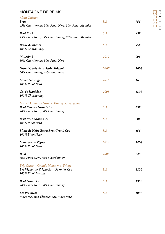#### MONTAGNE DE REIMS

| Alain Thiènot                                               |      |               |
|-------------------------------------------------------------|------|---------------|
| <b>Brut</b>                                                 | S.A. | 75€           |
| 45% Chardonnay, 30% Pinot Nero, 30% Pinot Meunier           |      |               |
| <b>Brut Rosè</b>                                            | S.A. | 85€           |
| 45% Pinot Nero, 35% Chardonnay, 25% Pinot Meunier           |      |               |
| <b>Blanc de Blancs</b>                                      | S.A. | 95 $\epsilon$ |
| 100% Chardonnay                                             |      |               |
| <b>Millesimé</b>                                            | 2012 | 90 $\epsilon$ |
| 50% Chardonnay, 50% Pinot Nero                              |      |               |
| Grand Cuvée Brut Alain Thiènot                              | 2007 | 165€          |
| 60% Chardonnay, 40% Pinot Nero                              |      |               |
| Cuvée Garange                                               | 2010 | 165€          |
| 100% Pinot Nero                                             |      |               |
| Cuvée Stanislas                                             | 2008 | 180€          |
| 100% Chardonnay                                             |      |               |
| Michel Arnould - Grande Montagne, Verzenay                  |      |               |
| <b>Brut Reserve Grand Cru</b>                               | S.A. | $65\epsilon$  |
| 70% Pinot Nero, 30% Chardonnay                              |      |               |
| <b>Brut Rosè Grand Cru</b>                                  | S.A. | 70€           |
| 100% Pinot Nero                                             |      |               |
| <b>Blanc de Noirs Extra Brut Grand Cru</b>                  | S.A. | $65\epsilon$  |
| 100% Pinot Nero                                             |      |               |
| Memoire de Vignes                                           | 2014 | 145€          |
| 100% Pinot Nero                                             |      |               |
| <b>B.50</b>                                                 | 2008 | $240\epsilon$ |
| 50% Pinot Nero, 50% Chardonnay                              |      |               |
| Egly Ouriet - Grande Montagne, Vrigny                       |      |               |
| Les Vignes de Vrigny Brut Premier Cru<br>100% Pinot Meunier | S.A. | 120€          |
|                                                             |      |               |
| <b>Brut Grand Cru</b>                                       | S.A. | 130€          |
| 70% Pinot Nero, 30% Chardonnay                              |      |               |
| <b>Les Premices</b>                                         | S.A. | 100€          |
| Pinot Meunier, Chardonnay, Pinot Nero                       |      |               |

BOLLICINE<br>ESTERE BOLLICINE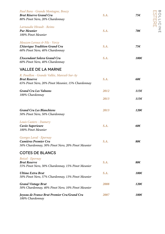| Paul Bara - Grande Montagne, Bouzy<br><b>Brut Réserve Grand Cru</b><br>80% Pinot Nero, 20% Chardonnay                   | S.A. | 75€            | w<br>$\circ$<br>$\overline{\phantom{0}}$<br>$\Box$ |
|-------------------------------------------------------------------------------------------------------------------------|------|----------------|----------------------------------------------------|
| Larnaudie Hirault - Reims<br><b>Pur Meunier</b><br>100% Pinot Meunier                                                   | S.A. | て<br>门<br>70€  | $\overline{\overline{O}}$<br>Ζ<br>$\Box$           |
| Mouzon Leroux & Fils - Verzy<br>L'Atavique Tradition Grand Cru<br>60% Pinot Nero, 40% Chardonnay                        | S.A. | 75€            |                                                    |
| L'Ascendant Solera Grand Cru<br>60% Pinot Nero, 40% Chardonnay                                                          | S.A. | 100€           |                                                    |
| <b>VALLEE DE LA MARNE</b>                                                                                               |      |                |                                                    |
| R. Pouillon - Grande Vallée, Mareuil-Sur-Ay<br><b>Brut Reserve</b><br>65% Pinot Nero, 20% Pinot Meunier, 15% Chardonnay | S.A. | $60\epsilon$   |                                                    |
| <b>Grand Cru Les Valnons</b>                                                                                            | 2012 | 1156           |                                                    |
| 100% Chardonnay                                                                                                         | 2013 | 1156           |                                                    |
| <b>Grand Cru Les Blanchiens</b><br>50% Pinot Nero, 50% Chardonnay                                                       | 2013 | 120€           |                                                    |
| Louis Casters - Damery<br>Cuvèe Superieure<br>100% Pinot Meunier                                                        | S.A. | $60\epsilon$   |                                                    |
| Georges Laval - Epernay<br><b>Cumières Premier Cru</b><br>50% Chardonnay, 30% Pinot Nero, 20% Pinot Meunier             | S.A. | 80€            |                                                    |
| <b>COTES DE BLANCS</b>                                                                                                  |      |                |                                                    |
| Boizel - Epernay<br><b>Brut Reserve</b><br>55% Pinot Nero, 30% Chardonnay, 15% Pinot Meunier                            | S.A. | 80€            |                                                    |
| <b>Ultime Extra Brut</b><br>50% Pinot Nero, 37% Chardonnay, 13% Pinot Meunier                                           | S.A. | 100€           |                                                    |
| <b>Grand Vintage Brut</b><br>50% Chardonnay, 40% Pinot Nero, 10% Pinot Meunier                                          | 2008 | $120 \epsilon$ |                                                    |
| Joyeau de France Brut Premier Cru/Grand Cru<br>100% Chardonnay                                                          | 2007 | 180€           |                                                    |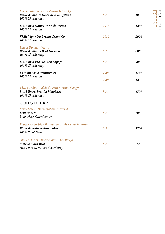| Larmandier Bernier - Vertus/Avize/Oger<br>Blanc de Blancs Extra Brut Longitude<br>100% Chardonnay            | S.A. | 105€           |
|--------------------------------------------------------------------------------------------------------------|------|----------------|
| <b>B.d.B Brut Nature Terre de Vertus</b><br>100% Chardonnay                                                  | 2016 | 125€           |
| Vielle Vigne Du Levant Grand Cru<br>100% Chardonnay                                                          | 2012 | $200 \epsilon$ |
| Pascal Doquet - Vertus<br><b>Blanc de Blancs Brut Horizon</b><br>100% Chardonnay                             | S.A. | 80€            |
| <b>B.d.B Brut Premier Cru Arpège</b><br>100% Chardonnay                                                      | S.A. | 90€            |
| Le Mont Aimè Premier Cru                                                                                     | 2006 | 135€           |
| 100% Chardonnay                                                                                              | 2008 | 125€           |
| Ulysse Collin - Vallée du Petit Morain, Congy<br><b>B.d.B Extra Brut La Pierriéres</b><br>100% Chardonnay    | S.A. | 170€           |
| <b>COTES DE BAR</b>                                                                                          |      |                |
| Remy Leroy - Barsuraubois, Meurville<br><b>Brut Nature</b><br>Pinot Nero, Chardonnay                         | S.A. | 60€            |
| Vouette & Sorbée - Barsequanais, Buxières-Sur-Arce<br><b>Blanc de Noirs Nature Fidéle</b><br>100% Pinot Nero | S.A. | 120€           |
| Olivier Horiot - Barsequanais, Les Riceys<br>Métisse Extra Brut<br>80% Pinot Nero, 20% Chardonay             | S.A. | 75€            |

BOLLICINE<br>ESTERE BOLLICINE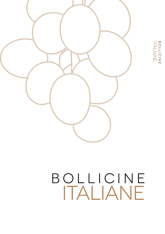

# BOLLICINE ITALIANE BOLLICINE

# bollicine italiane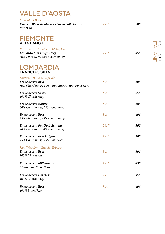#### VALLE D'AOSTA

| <b>Cave Mont Blanc</b><br>Extreme Blanc de Morgex et de la Salle Extra Brut<br>Priè Blanc             | 2018 | $30\epsilon$ |
|-------------------------------------------------------------------------------------------------------|------|--------------|
| <b>PIEMONTE</b><br><b>ALTA LANGA</b>                                                                  |      |              |
| Principiano - Monforte D'Alba, Cuneo<br>Leonardo Alta Langa Docg<br>60% Pinot Nero, 40% Chardonnay    | 2016 | 45€          |
| LOMBARDIA<br><b>FRANCIACORTA</b>                                                                      |      |              |
| Lantieri - Brescia, Capriolo<br>Franciacorta Brut<br>80% Chardonnay, 10% Pinot Bianco, 10% Pinot Nero | S.A. | $30\epsilon$ |
| Franciacorta Satén<br>100% Chardonnay                                                                 | S.A. | 35€          |
| <b>Franciacorta Nature</b><br>80% Chardonnay, 20% Pinot Nero                                          | S.A. | 38€          |
| Franciacorta Rosè<br>75% Pinot Nero, 25% Chardonnay                                                   | S.A. | 40€          |
| Franciacorta Pas Dosè Arcadia<br>70% Pinot Nero, 30% Chardonnay                                       | 2017 | 50€          |
| <b>Franciacorta Brut Origines</b><br>75% Chardonnay, 25% Pinot Nero                                   | 2013 | 70€          |
| San Cristoforo - Brescia, Erbusco<br>Franciacorta Brut<br>100% Chardonnay                             | S.A. | $30\epsilon$ |
| Franciacorta Millesimato<br>Chardonay, Pinot Nero                                                     | 2015 | 45€          |
| Franciacorta Pas Dosé<br>100% Chardonnay                                                              | 2015 | 45€          |
| <b>Franciacorta Rosé</b><br>100% Pinot Nero                                                           | S.A. | 40€          |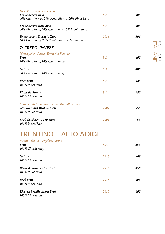| Faccoli - Brescia, Coccaglio<br>Franciacorta Brut<br>60% Chardonnay, 20% Pinot Bianco, 20% Pinot Nero | S.A. | 40€          |
|-------------------------------------------------------------------------------------------------------|------|--------------|
| Franciacorta Rosé Brut<br>60% Pinot Nero, 30% Chardonay, 10% Pinot Bianco                             | S.A. | 40€          |
| Franciacorta Dosagio Zero<br>60% Chardonay, 20% Pinot Bianco, 20% Pinot Nero                          | 2016 | 50€          |
| <b>OLTREPO' PAVESE</b>                                                                                |      |              |
| Monsupello - Pavia, Torricella Verzate<br><b>Brut</b><br>90% Pinot Nero, 10% Chardonnay               | S.A. | 40€          |
| <b>Nature</b><br>90% Pinot Nero, 10% Chardonnay                                                       | S.A. | 40€          |
| Rosè Brut<br>100% Pinot Nero                                                                          | S.A. | $42\epsilon$ |
| <b>Blanc de Blancs</b><br>100% Chardonnay                                                             | S.A. | $65\epsilon$ |
| Marchesi di Montalto - Pavia, Montalto Pavese<br>Tersilio Extra Brut 96 mesi<br>100% Pinot Nero       | 2007 | 95€          |
| Rosè Cuvéecento 110 mesi<br>100% Pinot Nero                                                           | 2009 | 75€          |
| <b>KEN</b><br>L. L<br>U AD                                                                            |      |              |
| Pisoni - Trento, Pergolese/Lasino<br><b>Brut</b><br>100% Chardonnay                                   | S.A. | 35f          |
| <b>Nature</b><br>100% Chardonnay                                                                      | 2018 | 40€          |
| <b>Blanc de Noirs Extra Brut</b><br>100% Pinot Nero                                                   | 2018 | 45€          |

*Rosè Brut 2018 40€*

*Riserva Segalla Extra Brut 2010 60€*

*100% Pinot Nero*

*100% Chardonnay*

BOLLICINE ITALIANE BOLLICINE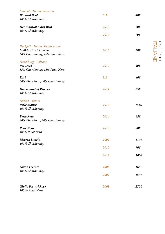| Cesconi - Trento, Pressano     |      |                |
|--------------------------------|------|----------------|
| <b>Blauwal Brut</b>            | S.A. | 40€            |
| 100% Chardonnay                |      |                |
| Der Blauwal Extra Brut         | 2013 | 60€            |
| 100% Chardonnay                |      |                |
|                                | 2010 | 70€            |
|                                |      |                |
| Dorigati - Trento, Mezzocorona |      |                |
| <b>Methius Brut Riserva</b>    | 2016 | 68€            |
| 60% Chardonnay, 40% Pinot Nero |      |                |
| Haderburg - Bolzano            |      |                |
| Pas Dosè                       | 2017 | 40€            |
| 85% Chardonnay, 15% Pinot Nero |      |                |
| Rosè                           | S.A. | 40€            |
| 60% Pinot Nero, 40% Chardonnay |      |                |
| <b>Hausmannhof Riserva</b>     | 2011 | 65€            |
| 100% Chardonnay                |      |                |
| Ferrari - Trento               |      |                |
| Perlè Bianco                   | 2010 | N.D.           |
| 100% Chardonnay                |      |                |
|                                |      |                |
| Perlè Rosè                     | 2016 | 65€            |
| 80% Pinot Nero, 20% Chardonnay |      |                |
| Perlè Nero                     | 2013 | 80€            |
| 100% Pinot Nero                |      |                |
| Riserva Lunelli                | 2009 | $110 \epsilon$ |
| 100% Chardonnay                |      |                |
|                                | 2010 | 90€            |
|                                | 2012 | 100€           |
|                                |      |                |
| Giulio Ferrari                 | 2008 | 160€           |
| 100% Chardonnay                |      |                |
|                                | 2009 | 150€           |
|                                |      |                |
| Giulio Ferrari Rosè            | 2008 | 270€           |
| 100 % Pinot Nero               |      |                |

BOLLICINE<br>ITALIANE ITALIANE BOLLICINE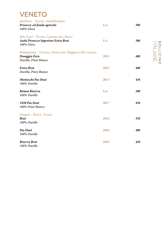#### VENETO

| Malibran - Treviso, Valdobbiadene<br>Prosecco col fondo agricolo<br>100% Glera                     | S.A. | 30€ |
|----------------------------------------------------------------------------------------------------|------|-----|
| Bele Casel - Treviso, Caerano San Marco<br>Asolo Prosecco Superiore Extra Brut<br>100% Glera       | S.A. | 30€ |
| Bellaguardia - Vicenza, Montecchio Maggiore/Alte Ceccato<br>Dosaggio Zero<br>Durella, Pinot Bianco | 2015 | 40€ |
| Extra Brut<br>Durella, Pinot Bianco                                                                | 2015 | 40€ |
| Montecchi Pas Dosè<br>100% Durello                                                                 | 2013 | 45€ |
| Romeo Riserva<br>100% Durello                                                                      | S.A. | 50€ |
| 1920 Pas Dosè<br>100% Pinot Bianco                                                                 | 2017 | 45€ |
| Fongaro - Roncà, Verona<br><b>Brut</b><br>100% Durello                                             | 2016 | 35€ |
| Pas Dosè<br>100% Durello                                                                           | 2016 | 40€ |
| Riserva Brut<br>100% Durello                                                                       | 2016 | 45€ |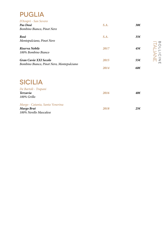#### PUGLIA

*Murgo - Catania, Santa Venerina*

*100% Nerello Mascalese*

| D'Araprì - San Severo<br>Pas Dosè<br>Bombino Bianco, Pinot Nero | S.A. | $30\epsilon$ |
|-----------------------------------------------------------------|------|--------------|
| Rosè<br>Montepulciano, Pinot Nero                               | S.A. | 35€          |
| Riserva Nobile<br>100% Bombino Bianco                           | 2017 | 45€          |
| <b>Gran Cuvèe XXI Secolo</b>                                    | 2015 | 55€          |
| Bombino Bianco, Pinot Nero, Montepulciano                       | 2014 | 60€          |
| <b>SICILIA</b>                                                  |      |              |
| De Bartoli - Trapani<br><b>Terzavia</b><br>100% Grillo          | 2016 | 40€          |

*Murgo Brut 2018 25€*

BOLLICINE<br>BOLLICINE ITALIANE BOLLICINE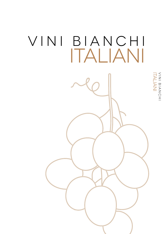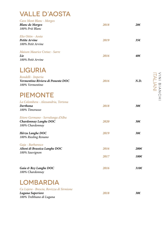# VALLE D'AOSTA

*100% Trebbiano di Lugana*

| Cave Mont Blanc - Morgex<br><b>Blanc de Morgex</b><br>100% Prié Blanc                 | 2018 | 286           |
|---------------------------------------------------------------------------------------|------|---------------|
| Elio Ottin - Aosta<br><b>Petite Arvine</b><br>100% Petit Arvine                       | 2019 | 356           |
| Maison Maurice Cretaz - Sarre<br>Lie<br>100% Petit Arvine                             | 2016 | 40€           |
| <b>LIGURIA</b><br>Rondelli - Imperia<br>Vermentino Riviera di Ponente DOC             | 2016 | N.D.          |
| 100% Vermentino<br><b>PIEMONTE</b>                                                    |      |               |
| La Colombera - Alessandria, Tortona<br>Derthona<br>100% Timorasso                     | 2018 | 30€           |
| Ettore Germano - Serralunga d'Alba<br><b>Chardonnay Langhe DOC</b><br>100% Chardonnay | 2020 | $30\epsilon$  |
| Hérzu Langhe DOC<br>100% Riesling Renano                                              | 2019 | 38€           |
| Gaja - Barbaresco<br>Alteni di Brassica Langhe DOC<br>100% Sauvignon                  | 2016 | 200€          |
|                                                                                       | 2017 | 180€          |
| Gaia & Rey Langhe DOC<br>100% Chardonnay                                              | 2016 | $310\epsilon$ |
| <b>LOMBARDIA</b>                                                                      |      |               |
| Ca Lojera - Brescia, Rovizza di Sirmione<br>Lugana Superiore                          | 2018 | 30€           |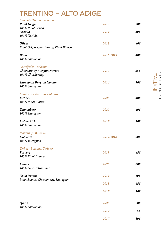# TRENTINO - ALTO ADIGE

| Cesconi - Trento, Pressano                               |           |               |
|----------------------------------------------------------|-----------|---------------|
| <b>Pinot Grigio</b>                                      | 2019      | $30\epsilon$  |
| 100% Pinot Grigio                                        |           |               |
| <b>Nosiola</b>                                           | 2019      | $30\epsilon$  |
| 100% Nosiola                                             |           |               |
| <b>Olivar</b>                                            | 2018      | 40€           |
| Pinot Grigio, Chardonnay, Pinot Bianco                   |           |               |
|                                                          |           |               |
| <b>Blanc</b>                                             | 2016/2019 | 40€           |
| 100% Sauvignon                                           |           |               |
|                                                          |           |               |
| Castelfeder - Bolzano                                    |           |               |
| <b>Chardonnay Burgum Novum</b>                           | 2017      | 55€           |
| 100% Chardonnay                                          |           |               |
| <b>Sauvignon Burgum Novum</b>                            | 2016      | 50€           |
| 100% Sauvignon                                           |           |               |
|                                                          |           |               |
| Manincor - Bolzano, Caldaro                              |           |               |
| Eichorn                                                  | 2020      | 40€           |
| 100% Pinot Bianco                                        |           |               |
|                                                          | 2020      | 40€           |
| <b>Tannenberg</b><br>100% Sauvignon                      |           |               |
|                                                          |           |               |
| Lieben Aich                                              | 2017      | 70€           |
| 100% Sauvignon                                           |           |               |
|                                                          |           |               |
| Plonerhof - Bolzano                                      |           |               |
| Exclusive                                                | 2017/2018 | 50€           |
| 100% sauvignon                                           |           |               |
| Terlan - Bolzano, Terlano                                |           |               |
| <b>Vorberg</b>                                           | 2019      | 45€           |
| 100% Pinot Bianco                                        |           |               |
|                                                          |           |               |
| Lunare                                                   | 2020      | 60€           |
| 100% Gewurztraminer                                      |           |               |
|                                                          |           |               |
| <b>Nova Domus</b><br>Pinot Bianco, Chardonnay, Sauvignon | 2019      | 60€           |
|                                                          | 2018      | 65 $\epsilon$ |
|                                                          |           |               |
|                                                          | 2017      | 70€           |
|                                                          |           |               |
|                                                          |           |               |
| Quarz                                                    | 2020      | 70€           |
| 100% Sauvignon                                           | 2019      | 75€           |
|                                                          |           |               |
|                                                          | 2017      | 80€           |
|                                                          |           |               |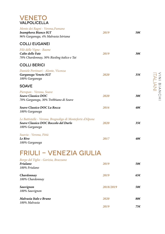#### VENETO VALPOLICELLA

| Monte dei Ragni - Verona, Fumane<br><b>Inamphora Bianco IGT</b><br>96% Garganega, 4% Malvasia Istriana               | 2019 | 50€             |
|----------------------------------------------------------------------------------------------------------------------|------|-----------------|
| <b>COLLI EUGANEI</b>                                                                                                 |      |                 |
| Filò delle Vigne - Baone<br>Calto delle Fate<br>70% Chardonnay, 30% Riesling italico e Tai                           | 2019 | $30\epsilon$    |
| <b>COLLI BERICI</b>                                                                                                  |      |                 |
| Daniele Portinari - Alonte, Vicenza<br>Garganega Veneto IGT<br>100% Garganega                                        | 2020 | $35\epsilon$    |
| <b>SOAVE</b>                                                                                                         |      |                 |
| Pieropan - Verona, Soave<br><b>Soave Classico DOC</b><br>70% Garganega, 30% Trebbiano di Soave                       | 2020 | 30 <sup>2</sup> |
| <b>Soave Classico DOC La Rocca</b><br>100% Garganega                                                                 | 2016 | 40€             |
| Le Battistelle - Verona, Brognoligo di Monteforte d'Alpone<br>Soave Classico DOC Roccolo del Durlo<br>100% Garganega | 2020 | 35f             |
| Suavia - Verona, Fittà<br>Le Rive<br>100% Garganega                                                                  | 2017 | 40€             |

#### FRIULI - VENEZIA GIULIA

#### *Borgo del Tiglio - Gorizia, Brazzano*

| <b>Friulano</b><br>100% Friulano        | 2019      | 50€ |
|-----------------------------------------|-----------|-----|
| Chardonnay<br>100% Chardonnay           | 2019      | 65€ |
| Sauvignon<br>100% Sauvignon             | 2018/2019 | 50€ |
| Malvasia Italo e Bruno<br>100% Malvasia | 2020      | 80€ |
|                                         | 2019      | 75€ |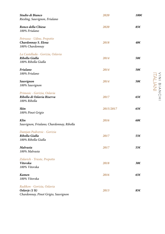| Studio di Bianco<br>Riesling, Sauvignon, Friulano                                   | 2020      | 100€         |
|-------------------------------------------------------------------------------------|-----------|--------------|
| Ronco della Chiesa<br>100% Friulano                                                 | 2020      | 85€          |
| Petrussa - Udine, Prepotto<br>Chardonnay S. Elena<br>100% Chardonnay                | 2018      | 40€          |
| La Castellada - Gorizia, Oslavia<br>Ribolla Gialla<br>100% Ribolla Gialla           | 2014      | 50€          |
| Friulano<br>100% Friulano                                                           | 2014      | 50€          |
| Sauvignon<br>100% Sauvignon                                                         | 2014      | 50€          |
| Primosic - Gorizia, Oslavia<br>Ribolla di Oslavia Riserva<br>100% Ribolla           | 2017      | $65\epsilon$ |
| <b>Skin</b><br>100% Pinot Grigio                                                    | 2015/2017 | 65€          |
| Klin<br>Sauvignon, Friulano, Chardonnay, Ribolla                                    | 2016      | 60€          |
| Damjan Podversic - Gorizia<br>Ribolla Gialla<br>100% Ribolla Gialla                 | 2017      | 55€          |
| Malvasia<br>100% Malvasia                                                           | 2017      | 55€          |
| Zidarich - Trieste, Prepotto<br>Vitovska<br>100% Vitovska                           | 2018      | $30\epsilon$ |
| <b>Kamen</b><br>100% Vitovska                                                       | 2016      | 65€          |
| Radikon - Gorizia, Oslavia<br>Oslavje (1 lt)<br>Chardonnay, Pinot Grigio, Sauvignon | 2013      | 85€          |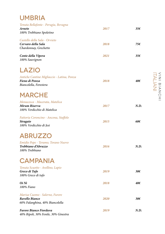#### UMBRIA

| Tenuta Bellafonte - Perugia, Bevagna<br><b>Arneto</b><br>100% Trebbiano Spoletino      | 2017 | $35\epsilon$ |
|----------------------------------------------------------------------------------------|------|--------------|
| Castello della Sala - Orvieto<br>Cervaro della Sala<br>Chardonnay, Grechetto           | 2018 | 75€          |
| Conte della Vipera<br>100% Sauvignon                                                   | 2021 | $35\epsilon$ |
| <b>LAZIO</b>                                                                           |      |              |
| Antiche Cantine Migliaccio - Latina, Ponza<br>Fieno di Ponza<br>Biancolella, Forestera | 2018 | 40€          |
| <b>MARCHE</b>                                                                          |      |              |
| Monacesca - Macerata, Matelica<br>Mirum Riserva<br>100% Verdicchio di Matelica         | 2017 | N.D.         |
| Fattoria Coroncino - Ancona, Staffolo<br><b>Stragaio</b><br>100% Verdicchio di Jesi    | 2015 | 60€          |
| <b>ABRUZZO</b>                                                                         |      |              |
| Emidio Pepe - Teramo, Torano Nuovo<br>Trebbiano d'Abruzzo<br>100% Trebbiano            | 2016 | N.D.         |
| <b>CAMPANIA</b>                                                                        |      |              |
| Tenuta Scuotto - Avellino, Lapio<br>Greco di Tufo<br>100% Greco di tufo                | 2019 | 30€          |
| $Oi$ Ni<br>100% Fiano                                                                  | 2018 | 40€          |
| Marisa Cuomo - Salerno, Furore<br>Ravello Bianco<br>60% Falanghina, 40% Biancolella    | 2020 | $30\epsilon$ |
| <b>Furore Bianco Fiorduva</b><br>40% Ripoli, 30% Fenile, 30% Ginestra                  | 2019 | N.D.         |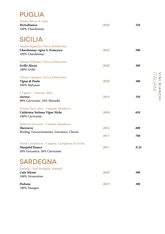| <b>PUGLIA</b>        |  |
|----------------------|--|
| Tenuta Bocca di Lupo |  |

| ICHAU DOCCA AI DAPO<br>Pietrabianca<br>100% Chardonnay                                                  | 2020 | 35€          |
|---------------------------------------------------------------------------------------------------------|------|--------------|
| <b>SICILIA</b>                                                                                          |      |              |
| Tenuta Regaleari (Tasca d'Almerita)<br>Chardonnay vigna S. Francesco<br>100% Chardonnay                 | 2018 | 50€          |
| Tenuta Whitaker (Tasca d'Almerita)<br>Grillo Mozia<br>100% Grillo                                       | 2020 | $30\epsilon$ |
| Tenuta Capofaro (Tasca d'Almerita)<br>Vigna di Paola<br>100% Malvasia                                   | 2020 | 30€          |
| I Vigneri - Catania, Milo<br>Aurora<br>90% Carricante, 10% Minnella                                     | 2019 | 35€          |
| Tenuta Terre Nere - Catania, Randazzo<br>Calderara Sottana Vigne Niche<br>100% Carricante               | 2020 | 65€          |
| Federico Graziani - Catania, Randazzo<br><b>Mareneve</b><br>Riesling, Gewurztraminer, Grecanico, Chenin | 2016 | 80€          |
|                                                                                                         | 2017 | 70€          |
| Frank Cornelissen - Catania, Castiglione di Sicilia<br>Munjebel bianco<br>50% Grecanico, 50% Carricante | 2017 | N.D.         |
| and the contract of the con-<br>- -                                                                     |      |              |

# SARDEGNA

| Santadi - Sud Sardegna, Santadi<br>Cala Silente<br>100% Vermentino | 2020 | 30€ |
|--------------------------------------------------------------------|------|-----|
| Pedraia<br>100% Nuragus                                            | 2019 | 30€ |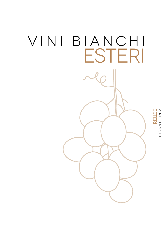

VINI BIANCHI<br>ESTERI VINI BIANCHI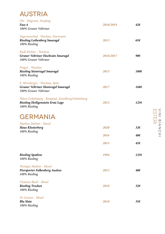### AUSTRIA

| Ott - Wagram, Neufang                              |           |      |
|----------------------------------------------------|-----------|------|
| Fass 4                                             | 2018/2019 | 42€  |
| 100% Gruner Veltriner                              |           |      |
| Tegernseerhof - Wachau, Durnstein                  |           |      |
| <b>Riesling Loibenberg Smaragd</b>                 | 2013      | 65f  |
| 100% Riesling                                      |           |      |
| Rudi Pichler - Wachau                              |           |      |
| Gruner Veltriner Hochrain Smaragd                  | 2016/2017 | 90€  |
| 100% Gruner Veltriner                              |           |      |
| Prager - Wachau                                    |           |      |
| <b>Riesling Steinriegel Smaragd</b>                | 2015      | 100€ |
| 100% Riesling                                      |           |      |
| F. Hirtzberger - Wachau, Spitz                     |           |      |
| <b>Gruner Veltriner Honivogel Smaragd</b>          | 2017      | 168€ |
| 100% Gruner Veltriner                              |           |      |
| Shloss Gobelsburg - Kamptal, Zeiselberg/Gobelsburg |           |      |
| <b>Riesling Heiligenstein Erste Lage</b>           | 2012      | 125€ |
| 100% Riesling                                      |           |      |
| <b>GERMANIA</b>                                    |           |      |
| <b>Markus Molitor - Mosel</b>                      |           |      |
| <b>Haus Klosterberg</b>                            | 2020      | 326  |
| 100% Riesling                                      |           |      |
|                                                    | 2016      | 40€  |
|                                                    | 2015      | 45€  |
|                                                    |           |      |
| <b>Riesling Spatlese</b>                           | 1994      | 1256 |
| 100% Riesling                                      |           |      |
| Weingut Molitor - Mosel                            |           |      |
| Piersporter Falkenberg Auslese                     | 2015      | 40€  |
| 100% Riesling                                      |           |      |
| Clemens Bush - Mosel                               |           |      |
| <b>Riesling Trocken</b>                            | 2018      | 326  |
| 100% Riesling                                      |           |      |
| Dr Loosen - Mosel                                  |           |      |
| <b>Blu Slate</b>                                   | 2018      | 356  |
| 100% Riesling                                      |           |      |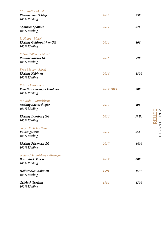| Clusserath - Mosel<br><b>Riesling Vom Schiefer</b><br>100% Riesling           | 2018      | $35\epsilon$   |
|-------------------------------------------------------------------------------|-----------|----------------|
| <b>Apotheke Spatlese</b><br>100% Riesling                                     | 2017      | 576            |
| R. Haart - Mosel<br><b>Riesling Goldtropfchen GG</b><br>100% Riesling         | 2014      | 80€            |
| F. Gelz Zilliken - Mosel<br><b>Riesling Rausch GG</b><br>100% Riesling        | 2016      | $92\epsilon$   |
| Egon Muller - Mosel<br><b>Riesling Kabinett</b><br>100% Riesling              | 2016      | 180€           |
| Prinz - Mittelrhein<br>Vom Buten Schiefer Feinherb<br>100% Riesling           | 2017/2019 | 30€            |
| P. J. Kuhn - Mittelrhein<br><b>Riesling Rheinschiefer</b><br>100% Riesling    | 2017      | 40€            |
| <b>Riesling Doosberg GG</b><br>100% Riesling                                  | 2016      | N.D.           |
| <b>Shafer Frolich - Nahe</b><br>Vulkangestein<br>100% Riesling                | 2017      | 55€            |
| <b>Riesling Felseneck GG</b><br>100% Riesling                                 | 2017      | 140€           |
| Schloss Johannisberg - Rheingau<br><b>Bronzelack Trocken</b><br>100% Riesling | 2017      | 60€            |
| Halbtrocken Kabinett<br>100% Riesling                                         | 1991      | 155 $\epsilon$ |
| <b>Gelblack Trocken</b><br>100% Riesling                                      | 1984      | $170 \epsilon$ |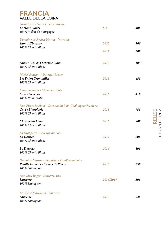#### FRANCIA VALLE DELLA LOIRA

| Gwin Evan - Nantes, Le Landreau<br>Le Haut Planty<br>100% Melon de Bourgogne                           | S.A.         | 40€           |
|--------------------------------------------------------------------------------------------------------|--------------|---------------|
| Domaine de Roches Neuves - Varrains<br><b>Samur L'Insolite</b><br>100% Chenin Blanc                    | 2020<br>2017 | 50€<br>60€    |
| Samur Clos de l'Echelier Blanc<br>100% Chenin Blanc                                                    | 2015         | 100€          |
| Michel Autran - Vouvray, Noizay<br>Les Enfers Tranquilles<br>100% Chenin Blanc                         | 2015         | 45€           |
| Laura Semeria - Cheverny, Blois<br><b>Cour Cheverny</b><br>100% Romorantin                             | 2016         | $41\epsilon$  |
| Jean Pierre Robinot - Coteaux du Loir, Chahaignes/Jasnieres<br>Cuvée Bistrologie<br>100% Chenin Blanc  | 2015         | 75€           |
| Charme du Loire<br>100% Chenin Blanc                                                                   | 2015         | 80€           |
| La Grapperie - Coteaux du Loir<br>La Desireé<br>100% Chenin Blanc                                      | 2017         | 80€           |
| La Dorrées<br>100% Chenin Blanc                                                                        | 2016         | 80€           |
| Domaine Masson - Blondelet - Pouilly-sur-Loire<br>Pouilly Fumé Les Pierres de Pierre<br>100% Sauvignon | 2015         | 65 $\epsilon$ |
| Jean Max Roger - Sancerre, Bué<br><b>Sancerre</b><br>100% Sauvignon                                    | 2016/2017    | 50€           |
| Le Chéne Marchand - Sancerre<br><b>Sancerre</b><br>100% Sauvignon                                      | 2013         | $52\epsilon$  |

NINI BIANCHI<br>ESTERI VINI BIANCHI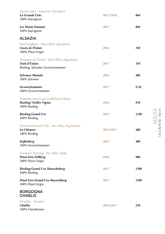| Pascal Cotat - Sancerre, Chavignol<br>La Grande Cote<br>100% Sauvignon                            | 2017/2018 | 86€            |
|---------------------------------------------------------------------------------------------------|-----------|----------------|
| Les Monts Damnès<br>100% Sauvignon                                                                | 2017      | 86€            |
| <b>ALSAZIA</b>                                                                                    |           |                |
| Paul Gingliger - Haut Rhin, Eguisheim<br>Cuvée de Prelats<br>100% Pinot Grigio                    | 2016      | 35€            |
| Domaine de l'Envol - Haut Rhin, Ingersheim<br>Trait d'Union<br>Riesling, Sylvaner, Gewurztraminer | 2017      | 356            |
| Sylvaner Manala<br>100% Sylvaner                                                                  | 2016      | 40€            |
| Gewurztraminer<br>100% Gewurztraminer                                                             | 2017      | N.D.           |
| Domaine Jean Louis et Fabienne Mann<br><b>Riesling Vieilles Vignes</b><br>100% Riesling           | 2016      | 55€            |
| <b>Riesling Grand Cru</b><br>100% Riesling                                                        | 2013      | $110 \epsilon$ |
| Domaine Brand & Fils - Bas-Rhin, Ergersheim<br>La Chimere<br>100% Riesling                        | 2015/2017 | 40€            |
| <b>Keffenberg</b><br>100% Gewurztraminer                                                          | 2013      | 40€            |
| Domaine Ostertag - Bas-Rhin, Epfig<br><b>Pinot Gris Zellberg</b><br>100% Pinot Grigio             | 2016      | 98€            |
| <b>Riesling Grand Cru Muencheberg</b><br>100% Riesling                                            | 2017      | 130€           |
| <b>Pinot Gris Grand Cru Muenchberg</b><br>100% Pinot Grigio                                       | 2017      | 150€           |
| <b>BORGOGNA</b><br><b>CHABLIS</b>                                                                 |           |                |
| Drouhin - Vaudon<br><b>Chablis</b><br>100% Chardonnay                                             | 2016/2017 | 55 $\epsilon$  |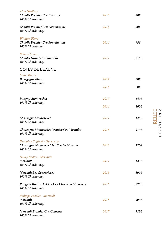| <b>Alan Geoffroy</b><br><b>Chablis Premier Cru Beauroy</b><br>100% Chardonnay              | 2018 | 50€            |
|--------------------------------------------------------------------------------------------|------|----------------|
| <b>Chablis Premier Cru Fourchaume</b><br>100% Chardonnay                                   | 2018 | 50€            |
| William Fèvre<br><b>Chablis Premier Cru Fourchaume</b><br>100% Chardonnay                  | 2016 | 95€            |
| <b>Billaud Simon</b><br>Chablis Grand Cru Vaudésir<br>100% Chardonnay                      | 2017 | $210 \epsilon$ |
| <b>COTES DE BEAUNE</b>                                                                     |      |                |
| <b>Marc Moray</b><br><b>Bourgogne Blanc</b><br>100% Chardonnay                             | 2017 | 60€            |
|                                                                                            | 2016 | 70€            |
| Puligny-Montrachet<br>100% Chardonnay                                                      | 2017 | 140€           |
|                                                                                            | 2016 | 160€           |
| <b>Chassagne Montrachet</b><br>100% Chardonnay                                             | 2017 | 140€           |
| Chassagne Montrachet Premier Cru Virondot<br>100% Chardonnay                               | 2016 | $210 \epsilon$ |
| Domaine Coffinet - Duvernay<br>Chassagne Montrachet 1er Cru La Maltroie<br>100% Chardonnay | 2016 | $120 \epsilon$ |
| Henry Boillot - Mersault<br><b>Mersault</b><br>100% Chardonnay                             | 2017 | 1256           |
| <b>Mersault Les Genevrieres</b><br>100% Chardonnay                                         | 2019 | 300€           |
| Puligny-Montrachet 1er Cru Clos de la Mouchere<br>100% Chardonnay                          | 2016 | $220 \epsilon$ |
| Philippe Pacalet - Mersault<br><b>Mersault</b><br>100% Chardonnay                          | 2018 | 200€           |
| <b>Mersault Premier Cru Charmes</b><br>100% Chardonnay                                     | 2017 | 325f           |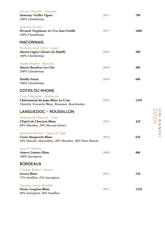| Vincent Girardin - Santenay<br><b>Santenay Vieilles Vignes</b><br>100% Chardonnay                                      | 2017 | 70€          |
|------------------------------------------------------------------------------------------------------------------------|------|--------------|
| Domaine Pavelot<br>Pernard-Vergelesses 1er Cru Sous Fretille<br>100% Chardonnay                                        | 2017 | 100€         |
| <b>MACONNAIS</b>                                                                                                       |      |              |
| Domaine Saint Denis - Lugny<br>Macon-Lugny Calcaire de Mépilly<br>100% Chardonnay                                      | 2016 | 50€          |
| Joseph Drouhin - Bussières<br><b>Macon-Bussières Les Clos</b><br>100% Chardonnay                                       | 2019 | 40€          |
| <b>Pouilly-Fuissè</b><br>100% Chardonnay                                                                               | 2018 | 60€          |
| <b>COTES DU RHONE</b>                                                                                                  |      |              |
| Vieux Télégraphe - Bedarrides<br>Chateauneuf-du-pape Blanc La Crau<br>Clairette, Grenache Blanc, Roussane, Bourboulenc | 2016 | 1256         |
| <b>LANGUEDOC - ROUSSILLON</b>                                                                                          |      |              |
| Domaine de l'Horizon - Calce<br>L'Esprit de L'horizon Blanc<br>80% Macabeo, 20% Moscato bianco                         | 2016 | 42€          |
| Domaine Matassa - Espira de l'Agly<br>Cuvée Marguerite Blanc<br>50% Moscato Alessandria, 30% Macabeo, 20% Pinot Muscat | 2018 | 656          |
| Gaja et Villedieu<br><b>Aimery Limoux Blanc</b><br>100% Sauvignon                                                      | 2009 | 88€          |
| <b>BORDEAUX</b>                                                                                                        |      |              |
| Chateau Rahoul - Portets<br><b>Graves Blanc</b><br>75% Semillon, 25% Sauvignon                                         | 2015 | $52\epsilon$ |
| Chateau Latour Martillac<br>Pessac-Leognan Blanc<br>60% Sauvignon, 40% Semillon                                        | 2013 | 1256         |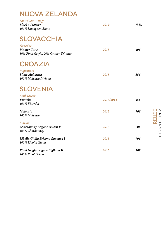#### NUOVA ZELANDA

| Saint Clair - Otago<br><b>Block 3 Pioneer</b><br>100% Sauvignon Blanc      | 2019      | N.D. |
|----------------------------------------------------------------------------|-----------|------|
| <b>SLOVACCHIA</b>                                                          |           |      |
| Slobodne<br><b>Pinoter Cutis</b><br>80% Pinot Grigio, 20% Gruner Veltliner | 2015      | 40€  |
| <b>CROAZIA</b>                                                             |           |      |
| Piquentum<br><b>Blanc Malvazija</b><br>100% Malvasia Istriana              | 2018      | 35€  |
| <b>SLOVENIA</b>                                                            |           |      |
| <b>Emil Taycar</b><br>Vitovska<br>100% Vitovska                            | 2013/2014 | 45€  |
| Malvasia<br>100% Malvasia                                                  | 2015      | 70€  |
| <b>Marinic</b><br><b>Chardonnay Erigone Ossech V</b><br>100% Chardonnay    | 2015      | 70€  |
| Ribolla Gialla Erigone Gaugnaz I<br>100% Ribolla Gialla                    | 2015      | 70€  |
| Pinot Grigio Erigone Bigliana II<br>100% Pinot Grigio                      | 2015      | 70€  |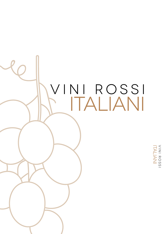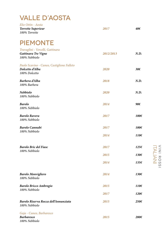# VALLE D'AOSTA

| Elio Ottin - Aosta<br><b>Torrette Superieur</b><br>100% Torrette               | 2017      | 40€          |
|--------------------------------------------------------------------------------|-----------|--------------|
| <b>PIEMONTE</b>                                                                |           |              |
| Travaglini - Vercelli, Gattinara<br>Gattinara Tre Vigne<br>100% Nebbiolo       | 2012/2013 | N.D.         |
| Paolo Scavino - Cuneo, Castiglione Falleto<br>Dolcetto d'Alba<br>100% Dolcetto | 2020      | $30\epsilon$ |
| Barbera d'Alba<br>100% Barbera                                                 | 2018      | N.D.         |
| <b>Nebbiolo</b><br>100% Nebbiolo                                               | 2020      | N.D.         |
| <b>Barolo</b><br>100% Nebbiolo                                                 | 2014      | 90€          |
| <b>Barolo Ravera</b><br>100% Nebbiolo                                          | 2017      | 100€         |
| <b>Barolo Cannubi</b><br>100% Nebbiolo                                         | 2017      | 100€         |
|                                                                                | 2014      | 110€         |
| <b>Barolo Bric del Fiasc</b><br>100% Nebbiolo                                  | 2017      | 125€         |
|                                                                                | 2015      | 130€         |
|                                                                                | 2014      | 1356         |
| <b>Barolo Monvigliero</b><br>100% Nebbiolo                                     | 2014      | 1306         |
| <b>Barolo Bricco Ambrogio</b>                                                  | 2015      | 1106         |
| 100% Nebbiolo                                                                  | 2017      | 1206         |
| Barolo Riserva Rocca dell'Annunziata<br>100% Nebbiolo                          | 2015      | 250€         |
| Gaja - Cuneo, Barbaresco<br><b>Barbaresco</b><br>100% Nebbiolo                 | 2015      | 2806         |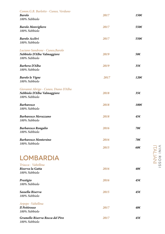| Comm.G.B. Burlotto - Cuneo, Verduno<br><b>Barolo</b><br>100% Nebbiolo                 | 2017 | 150€         |
|---------------------------------------------------------------------------------------|------|--------------|
| <b>Barolo Monvigliero</b><br>100% Nebbiolo                                            | 2017 | 550€         |
| <b>Barolo Acclivi</b><br>100% Nebbiolo                                                | 2017 | 550€         |
| Luciano Sandrone - Cuneo, Barolo<br>Nebbiolo D'Alba Valmaggiore<br>100% Nebbiolo      | 2019 | 50€          |
| <b>Barbera D'Alba</b><br>100% Nebbiolo                                                | 2019 | $35\epsilon$ |
| <b>Barolo le Vigne</b><br>100% Nebbiolo                                               | 2017 | 120€         |
| Giovanni Abrigo - Cuneo, Diano D'Alba<br>Nebbiolo D'Alba Valmaggiore<br>100% Nebbiolo | 2018 | 356          |
| <b>Barbaresco</b><br>100% Nebbiolo                                                    | 2018 | 100€         |
| <b>Barbaresco Meruzzano</b><br>100% Nebbiolo                                          | 2018 | 45€          |
| <b>Barbaresco Rongalio</b><br>100% Nebbiolo                                           | 2016 | 70€          |
| <b>Barbaresco Montersino</b><br>100% Nebbiolo                                         | 2016 | 70€          |
|                                                                                       | 2015 | $60\epsilon$ |
| <b>LOMBARDIA</b>                                                                      |      |              |
| Triacca - Valtellina<br>Riserva la Gatta<br>100% Nebbiolo                             | 2016 | 40€          |
| Prestigio<br>100% Nebbiolo                                                            | 2016 | 45€          |
| Sassella Riserva<br>100% Nebbiolo                                                     | 2015 | 45€          |
| Arpepe - Valtellina<br>Il Pettirosso<br>100% Nebbiolo                                 | 2017 | 40€          |
| Grumello Riserva Rocca del Piro<br>100% Nebbiolo                                      | 2017 | 45€          |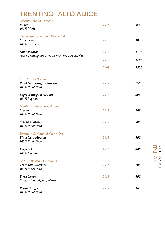# TRENTINO-ALTO ADIGE

| Cesconi - Trento, Pressano<br>Pivier<br>100% Merlot                              | 2015 | 45€          |
|----------------------------------------------------------------------------------|------|--------------|
| Tenuta San Leonardo - Trento, Avio<br><b>Carmenere</b><br>100% Carmenere         | 2015 | 105€         |
| San Leonardo                                                                     | 2015 | 110€         |
| 60% C. Sauvignon, 30% Carmenere, 10% Merlot                                      | 2010 | 135€         |
|                                                                                  | 2008 | 150€         |
| Castelfeder - Bolzano<br><b>Pinot Nero Burgum Novum</b><br>100% Pinot Nero       | 2017 | $65\epsilon$ |
| Lagrein Burgum Novum<br>100% Lagrein                                             | 2016 | 50€          |
| Manincor - Bolzano, Caldaro<br><b>Mason</b><br>100% Pinot Nero                   | 2019 | 50€          |
| Mason di Mason<br>100% Pinot Nero                                                | 2019 | $90\epsilon$ |
| Ferruccio Carlotto - Bolzano, Ora<br><b>Pinot Nero Mazzon</b><br>100% Pinot Nero | 2019 | 50€          |
| Lagrein Ora<br>100% Lagrein                                                      | 2019 | 40€          |
| Girlan - Bolzano, Cornaiano<br><b>Trattmann Riserva</b><br>100% Pinot Nero       | 2018 | 60€          |
| <b>Flora Cuvèe</b><br>Cabernet Sauvignon, Merlot                                 | 2018 | 50€          |
| Vigna Ganger<br>100% Pinot Nero                                                  | 2017 | 160€         |

VIN ROSSI<br>VIN ROSSI VINI ROSSIITALIANI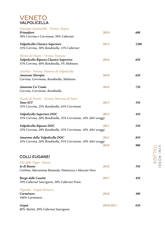#### VENETO VALPOLICELLA

| Giuseppe Quintarelli - Verona, Negrar<br>Primofiore<br>50% Corvina e Corvinone, 50% Cabernet                            | 2019         | 60 $\epsilon$        |
|-------------------------------------------------------------------------------------------------------------------------|--------------|----------------------|
| Valpolicella Classico Superiore<br>55% Corvina, 30% Rondinella, 15% Cabernet                                            | 2014         | 1206                 |
| Monte dei Ragni - Verona, Fumane<br>Valpolicella Ripasso Classico Superiore<br>55% Corvina, 40% Rondinella, 5% Molinara | 2016         | $65\epsilon$         |
| Antolini - Verona, Marano di Valpolicella<br>Amarone Moropio<br>Corvina, Corvinone, Rondinella, Molinara                | 2018         | $62\epsilon$         |
| Amarone Ca' Coato<br>Corvina, Corvinone, Rondinella                                                                     | 2016         | $72\epsilon$         |
| Guaite di Noemi - Verona, Mezzane di Sotto<br><b>Tano IGT</b><br>35% Corvina, 25% Rondinella, 45% Corvinone             | 2015         | $35\epsilon$         |
| Valpolicella Superiore DOC<br>35% Corvina, 20% Rondinella, 35% Corvinone, 10% Altri uvaggi                              | 2012         | 45€                  |
| Valpolicella Ripasso DOC<br>35% Corvina, 20% Rondinella, 35% Corvinone, 10% Altri uvaggi                                | 2011         | 55€                  |
| Amarone della Valpolicella DOC<br>35% Corvina, 20% Rondinella, 35% Corvinone, 10% Altri uvaggi                          | 2011<br>2010 | 85€<br>90 $\epsilon$ |
| <b>COLLI EUGANEI</b>                                                                                                    |              |                      |
| Filò delle Vigne - Baone<br>Io di Baone<br>Corbina, Marzemina Bastarda, Pattaresca e Moscato Nero                       | 2018         | $35\epsilon$         |
| <b>Borgo delle Casette</b><br>70% Cabernet Sauvignon, 30% Cabernet Franc                                                | 2017         | 45€                  |
| Vignalta - Arquà Petrarca<br>Carmènere<br>100% Carmènere                                                                | 2018         | $30\epsilon$         |
| Arquà<br>80% Merlot, 20% Cabernet Sauvignon                                                                             | 2010/2011    | $62\epsilon$         |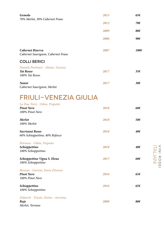| Gemola<br>70% Merlot, 30% Cabernet Franc                                  | 2015 | 65€           |
|---------------------------------------------------------------------------|------|---------------|
|                                                                           | 2012 | 70€           |
|                                                                           | 2009 | 80€           |
|                                                                           | 2006 | 90€           |
| <b>Cabernet Riserva</b><br>Cabernet Sauvignon, Cabernet Franc             | 2007 | 100€          |
| <b>COLLI BERICI</b>                                                       |      |               |
| Daniele Portinari - Alonte, Vicenza<br><b>Tai Rosso</b><br>100% Tai Rosso | 2017 | $35\epsilon$  |
| Nanni<br>Cabernet Sauvignon, Merlot                                       | 2017 | $30\epsilon$  |
| <b>FRIULI-VENEZIA GIULIA</b>                                              |      |               |
| La Due Terre - Udine, Prepotto<br><b>Pinot Nero</b><br>100% Pinot Nero    | 2018 | 60€           |
| Merlot<br>100% Merlot                                                     | 2018 | 50€           |
| Sacrisassi Rosso<br>60% Schioppettino, 40% Refosco                        | 2018 | 40€           |
| Petrussa - Udine, Prepotto<br>Schioppettino<br>100% Schioppettino         | 2018 | 40€           |
| Schioppettino Vigna S. Elena<br>100% Schioppettino                        | 2017 | 60€           |
| Bressan - Gorizia, Farra d'Isonzo<br><b>Pinot Nero</b><br>100% Pinot Nero | 2016 | 65 $\epsilon$ |
| Schioppettino<br>100% Schioppettino                                       | 2016 | 65 $\epsilon$ |
| Zidarich - Trieste, Duino - Aurisina<br>Ruje<br>Merlot, Terrano           | 2009 | 80€           |

VINTANI<br>VINTANI VINI ROSSIITALIANI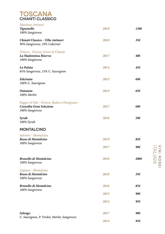| <b>TOSCANA</b>          |  |
|-------------------------|--|
| <b>CHIANTI CLASSICO</b> |  |

| Marchese Antinori                                                                           |      |               |
|---------------------------------------------------------------------------------------------|------|---------------|
| <b>Tignanello</b><br>100% Sangiovese                                                        | 2019 | 130€          |
| Chianti Classico - Villa Antinori<br>90% Sangiovese, 10% Cabernet                           | 2018 | 35f           |
| Triacca - Firenze, Greve in Chianti<br>La Madonnina Riserva<br>100% Sangiovese              | 2017 | 40€           |
| La Palaia<br>85% Sangiovese, 15% C. Sauvignon                                               | 2014 | 45€           |
| <b>Falcinaia</b><br>100% C. Sauvignon                                                       | 2015 | $60\epsilon$  |
| <b>Ontaneta</b><br>100% Merlot                                                              | 2013 | 65€           |
| Poggio Al Sole - Firenze, Badia a Passignano<br>Casasilia Gran Selezione<br>100% Sangiovese | 2017 | 60€           |
| Syrah<br>100% Syrah                                                                         | 2016 | 50€           |
| <b>MONTALCINO</b>                                                                           |      |               |
| Salvioni - Montalcino<br>Rosso di Montalcino<br>100% Sangiovese                             | 2019 | 85€           |
|                                                                                             | 2017 | 90€           |
| <b>Brunello di Montalcino</b><br>100% Sangiovese                                            | 2016 | 200€          |
| Argiano - Montalcino<br>Rosso di Montalcino<br>100% Sangiovese                              | 2018 | 35€           |
| Brunello di Montalcino                                                                      | 2016 | 85€           |
| 100% Sangiovese                                                                             | 2015 | 90€           |
|                                                                                             | 2014 | 95€           |
| Solengo<br>C. Sauvignon, P. Verdot, Merlot, Sangiovese                                      | 2017 | 90€           |
|                                                                                             | 2014 | 95 $\epsilon$ |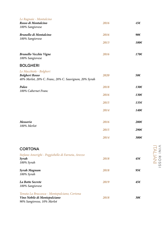| Le Ragnaie - Montalcino<br>Rosso di Montalcino<br>100% Sangiovese                                          | 2016 | 45€            |
|------------------------------------------------------------------------------------------------------------|------|----------------|
| Brunello di Montalcino                                                                                     | 2016 | 90€            |
| 100% Sangiovese                                                                                            | 2013 | 100€           |
| <b>Brunello Vecchie Vigne</b><br>100% Sangiovese                                                           | 2016 | 170€           |
| <b>BOLGHERI</b>                                                                                            |      |                |
| Le Macchiole - Bolgheri<br><b>Bolgheri Rosso</b><br>40% Merlot, 20% C. Franc, 20% C. Sauvignon, 20% Syrah  | 2020 | 50€            |
| Paleo                                                                                                      | 2018 | 130€           |
| 100% Cabernet Franc                                                                                        | 2016 | 130€           |
|                                                                                                            | 2015 | 135€           |
|                                                                                                            | 2014 | 140€           |
| Messorio<br>100% Merlot                                                                                    | 2016 | 280€           |
|                                                                                                            | 2015 | 290€           |
|                                                                                                            | 2014 | $300 \epsilon$ |
| <b>CORTONA</b>                                                                                             |      |                |
| Stefano Amerighi - Poggiobello di Farneta, Arezzo<br>Syrah<br>100% Syrah                                   | 2018 | 45€            |
| <b>Syrah Magnum</b><br>100% Syrah                                                                          | 2018 | 95€            |
| La Botte Secrete<br>100% Sangiovese                                                                        | 2019 | 45€            |
| Tenuta La Braccesca - Montepulciano, Cortona<br>Vino Nobile di Montepulciano<br>90% Sangiovese, 10% Merlot | 2018 | $30\epsilon$   |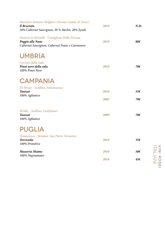| Marchesi Antinori-Bolgheri (Tenuta Guado Al Tasso)<br>Il Bruciato<br>50% Cabernet Sauvignon, 30 % Merlot, 20% Syrah    | 2019 | N.D.         |
|------------------------------------------------------------------------------------------------------------------------|------|--------------|
| Fattoria le Mortelle - Castiglione Della Pescaia<br>Poggio alle Nane<br>Cabernet Sauvignon, Cabernet Franc e Carmenere | 2019 | 80€          |
| <b>UMBRIA</b>                                                                                                          |      |              |
| Cervaro della Sala<br>Pinot nero della sala<br>100% Pinot Nero                                                         | 2018 | 70€          |
| <b>CAMPANIA</b>                                                                                                        |      |              |
| Di Prisco - Avellino, Fontanarosa<br><b>Taurasi</b><br>100% Aglianico                                                  | 2010 | 55€          |
|                                                                                                                        | 2005 | 70€          |
| Perillo - Avellino, Castefranci<br><b>Taurasi</b><br>100% Aglianico                                                    | 2009 | 70€          |
| <b>PUGLIA</b>                                                                                                          |      |              |
| Tormaresca - Brindisi, San Pietro Vernotico<br><b>Torcicoda</b><br>100% Primitivo                                      | 2019 | $35\epsilon$ |
| Masseria Maime                                                                                                         | 2016 | 50€          |
| 100% Negroamaro                                                                                                        | 2018 | 45€          |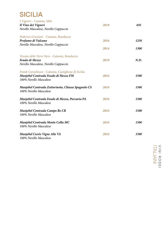# SICILIA

| I Vigneri - Catania, Milo                           |      |                |
|-----------------------------------------------------|------|----------------|
| Il Vino dei Vigneri                                 | 2018 | 45€            |
| Nerello Mascalese, Nerello Cappuccio                |      |                |
| Federico Graziani - Catania, Randazzo               |      |                |
| Profumo di Vulcano                                  | 2016 | 125 $\epsilon$ |
| Nerello Mascalese, Nerello Cappuccio                |      |                |
|                                                     | 2014 | 130€           |
| Tenuta delle Terre Nere - Catania, Randazzo         |      |                |
| Feudo di Mezzo                                      | 2019 | N.D.           |
| Nerello Mascalese, Nerello Cappuccio                |      |                |
| Frank Cornelissen - Catania, Castiglione di Sicilia |      |                |
| Munjebel Contrada Feudo di Mezzo FM                 | 2016 | 150€           |
| 100% Nerello Mascalese                              |      |                |
| Munjebel Contrada Zottorinoto, Chiusa Spagnolo CS   | 2016 | 150€           |
| 100% Nerello Mascalese                              |      |                |
| Munjebel Contrada Feudo di Mezzo, Porcaria PA       | 2016 | 150€           |
| 100% Nerello Mascalese                              |      |                |
| Munjebel Contrada Campo Re CR                       | 2016 | 150€           |
| 100% Nerello Mascalese                              |      |                |
| Munjebel Contrada Monte Colla MC                    | 2016 | 150€           |
| 100% Nerello Mascalese                              |      |                |
| Munjebel Cuvèe Vigne Alte VA                        | 2016 | 150€           |
| 100% Nerello Mascalese                              |      |                |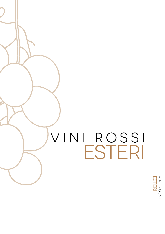# vini rossi ESTERI

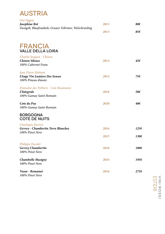

| Gut Oggau<br>Josephine Rot<br>Zweigelt, Blaufrankish, Gruner Veltriner, Welschriesling | 2015 | 80€  |
|----------------------------------------------------------------------------------------|------|------|
|                                                                                        | 2013 | 85€  |
| <b>FRANCIA</b><br><b>VALLE DELLA LOIRA</b>                                             |      |      |
| Charles Jouguet - Chinon<br><b>Chinon Silenes</b><br>100% Cabernet Franc               | 2014 | 45€  |
| Jean Pierre Robinot<br>L'Ange Vin Lumiere Des Senses<br>100% Pineau d'aunis            | 2014 | 75€  |
| Domaine des Pothiers - Cote Roannaise<br><i>L'Integrale</i><br>100% Gamay Saint-Romain | 2018 | 50€  |
| Cote du Puy<br>100% Gamay Saint-Romain                                                 | 2020 | 40€  |
| <b>BORGOGNA</b><br><b>COTE DE NUITS</b>                                                |      |      |
| Charlopin Parizot<br><b>Gevrey - Chambertin Terre Blanches</b><br>100% Pinot Nero      | 2016 | 1256 |
|                                                                                        | 2015 | 130€ |
| <b>Philippe Pacalet</b><br><b>Gevrey Chambertin</b><br>100% Pinot Nero                 | 2016 | 180€ |
| <b>Chambolle Musigny</b><br>100% Pinot Nero                                            | 2016 | 1956 |
| Vosne - Romaneè<br>100% Pinot Nero                                                     | 2016 | 2756 |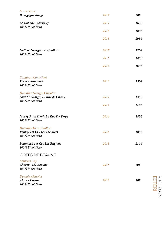| <b>Michel Gros</b>                                                                    |      |                |
|---------------------------------------------------------------------------------------|------|----------------|
| <b>Bourgogne Rouge</b>                                                                | 2017 | 60€            |
| <b>Chambolle - Musigny</b><br>100% Pinot Nero                                         | 2017 | 165€           |
|                                                                                       | 2016 | 185€           |
|                                                                                       | 2015 | $205\epsilon$  |
| <b>Nuit St. Georges Les Chaliots</b><br>100% Pinot Nero                               | 2017 | 1256           |
|                                                                                       | 2016 | 140€           |
|                                                                                       | 2015 | 160€           |
| Confuron Contetidot                                                                   |      |                |
| Vosne - Romaneè<br>100% Pinot Nero                                                    | 2016 | 150€           |
| <b>Domaine Georges Chicotot</b><br>Nuit-St-Georges Le Rue de Chaux<br>100% Pinot Nero | 2017 | 130€           |
|                                                                                       | 2014 | 135€           |
| Morey Saint Denis La Rue De Vergy<br>100% Pinot Nero                                  | 2014 | 185€           |
| Domaine Henri Boillot<br><b>Volnay 1er Cru Les Fremiets</b><br>100% Pinot Nero        | 2018 | 180€           |
| <b>Pommard 1er Cru Les Rugiens</b><br>100% Pinot Nero                                 | 2015 | $210 \epsilon$ |
| <b>COTES DE BEAUNE</b>                                                                |      |                |
| <b>Francois Gay</b><br>Chorey - Lès Beaune<br>100% Pinot Nero                         | 2018 | $60\epsilon$   |
| Domaine Pavelot<br>Aloxe - Corton<br>100% Pinot Nero                                  | 2018 | 70€            |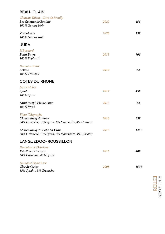#### **BEAUJOLAIS**

| Chateau Thivin - Côte de Broully                   |      |              |
|----------------------------------------------------|------|--------------|
| Les Griottes de Brulhiè<br>100% Gamay Noir         | 2020 | 45€          |
|                                                    |      |              |
| Zaccaharie                                         | 2020 | 75€          |
| 100% Gamay Noir                                    |      |              |
| <b>JURA</b>                                        |      |              |
| P. Bornard                                         |      |              |
| <b>Point Barre</b>                                 | 2015 | 70€          |
| 100% Poulsard                                      |      |              |
| Domaine Ratte                                      |      |              |
| Arbois                                             | 2019 | 75€          |
| 100% Trosseau                                      |      |              |
| <b>COTES DU RHONE</b>                              |      |              |
| Jean Delobre                                       |      |              |
| Syrah                                              | 2017 | 45€          |
| 100% Syrah                                         |      |              |
| <b>Saint Joseph Pleine Lune</b>                    | 2015 | 75€          |
| 100% Syrah                                         |      |              |
| Vieux Telegraphe                                   |      |              |
| Chateauneuf du Pape                                | 2016 | $65\epsilon$ |
| 80% Grenache, 10% Syrah, 6% Mourvedre, 4% Cinsault |      |              |
| Chateauneuf du Pape La Crau                        | 2015 | 140€         |
| 80% Grenache, 10% Syrah, 6% Mourvedre, 4% Cinsault |      |              |
| LANGUEDOC-ROUSSILLON                               |      |              |
| Domaine de l'Horizon                               |      |              |
| Esprit de l'Horizon                                | 2016 | 40€          |
| 60% Carignan, 40% Syrah                            |      |              |
| <b>Domaine Peyre Rose</b>                          |      |              |
| Clos de Cistes                                     | 2008 | 150€         |
| 85% Syrah, 15% Grenache                            |      |              |
|                                                    |      |              |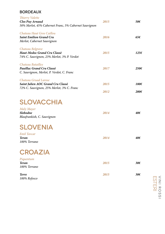#### BORDEAUX

| Thierry Valette<br>Clos Puy Arnaud<br>50% Merlot, 45% Cabernet Franc, 5% Cabernet Sauvignon            | 2015 | 50€            |
|--------------------------------------------------------------------------------------------------------|------|----------------|
| Chateau Haut Gros Caillou<br><b>Saint Emilion Grand Cru</b><br>Merlot, Cabernet Sauvignon              | 2016 | $65\epsilon$   |
| Chateau Belgrave<br>Haut-Medoc Grand Cru Classè<br>74% C. Sauvignon, 23% Merlot, 3% P. Verdot          | 2015 | 1256           |
| Chateau Batailley<br>Pauillac Grand Cru Classè<br>C. Sauvignon, Merlot, P. Verdot, C. Franc            | 2017 | $250 \epsilon$ |
| Chateau Gruad Larose<br>Saint Julien AOC Grand Cru Classè<br>72% C. Sauvignon, 25% Merlot, 3% C. Franc | 2015 | 180€           |
|                                                                                                        | 2012 | $200 \epsilon$ |
| <b>SLOVACCHIA</b>                                                                                      |      |                |
| <b>Maly Mayer</b><br><b>Slobodne</b><br>Blaufrankish, C. Sauvignon                                     | 2014 | 40€            |
| <b>SLOVENIA</b>                                                                                        |      |                |
| <b>Emil Taycar</b><br>Teran<br>100% Terrano                                                            | 2014 | 40€            |
| <b>CROAZIA</b>                                                                                         |      |                |
| Piquentum<br><b>Teran</b><br>100% Terrano                                                              | 2015 | $30\epsilon$   |
| <b>Terre</b><br>100% Refosco                                                                           | 2015 | $30\epsilon$   |

ESTERI VINI ROSSI